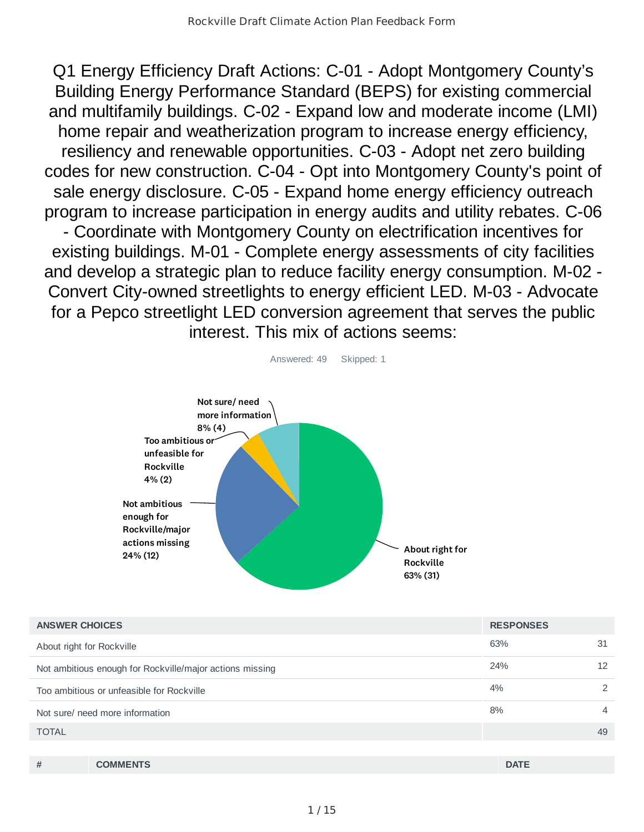Q1 Energy Efficiency Draft Actions: C-01 - Adopt Montgomery County's Building Energy Performance Standard (BEPS) for existing commercial and multifamily buildings. C-02 - Expand low and moderate income (LMI) home repair and weatherization program to increase energy efficiency, resiliency and renewable opportunities. C-03 - Adopt net zero building codes for new construction. C-04 - Opt into Montgomery County's point of sale energy disclosure. C-05 - Expand home energy efficiency outreach program to increase participation in energy audits and utility rebates. C-06 - Coordinate with Montgomery County on electrification incentives for existing buildings. M-01 - Complete energy assessments of city facilities and develop a strategic plan to reduce facility energy consumption. M-02 - Convert City-owned streetlights to energy efficient LED. M-03 - Advocate for a Pepco streetlight LED conversion agreement that serves the public interest. This mix of actions seems:



| <b>ANSWER CHOICES</b>                                    | <b>RESPONSES</b> |    |
|----------------------------------------------------------|------------------|----|
| About right for Rockville                                | 63%              | 31 |
| Not ambitious enough for Rockville/major actions missing | 24%              | 12 |
| Too ambitious or unfeasible for Rockville                | 4%               | 2  |
| Not sure/ need more information                          | 8%               | 4  |
| <b>TOTAL</b>                                             |                  | 49 |
|                                                          |                  |    |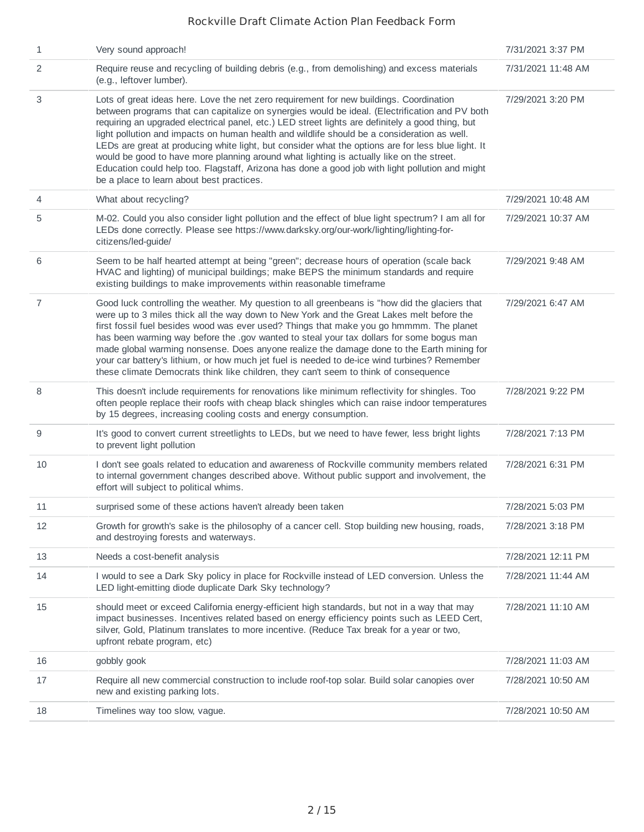| $\mathbf{1}$   | Very sound approach!                                                                                                                                                                                                                                                                                                                                                                                                                                                                                                                                                                                                                                                                                                                           | 7/31/2021 3:37 PM  |
|----------------|------------------------------------------------------------------------------------------------------------------------------------------------------------------------------------------------------------------------------------------------------------------------------------------------------------------------------------------------------------------------------------------------------------------------------------------------------------------------------------------------------------------------------------------------------------------------------------------------------------------------------------------------------------------------------------------------------------------------------------------------|--------------------|
| 2              | Require reuse and recycling of building debris (e.g., from demolishing) and excess materials<br>(e.g., leftover lumber).                                                                                                                                                                                                                                                                                                                                                                                                                                                                                                                                                                                                                       | 7/31/2021 11:48 AM |
| 3              | Lots of great ideas here. Love the net zero requirement for new buildings. Coordination<br>between programs that can capitalize on synergies would be ideal. (Electrification and PV both<br>requiring an upgraded electrical panel, etc.) LED street lights are definitely a good thing, but<br>light pollution and impacts on human health and wildlife should be a consideration as well.<br>LEDs are great at producing white light, but consider what the options are for less blue light. It<br>would be good to have more planning around what lighting is actually like on the street.<br>Education could help too. Flagstaff, Arizona has done a good job with light pollution and might<br>be a place to learn about best practices. | 7/29/2021 3:20 PM  |
| 4              | What about recycling?                                                                                                                                                                                                                                                                                                                                                                                                                                                                                                                                                                                                                                                                                                                          | 7/29/2021 10:48 AM |
| 5              | M-02. Could you also consider light pollution and the effect of blue light spectrum? I am all for<br>LEDs done correctly. Please see https://www.darksky.org/our-work/lighting/lighting-for-<br>citizens/led-guide/                                                                                                                                                                                                                                                                                                                                                                                                                                                                                                                            | 7/29/2021 10:37 AM |
| 6              | Seem to be half hearted attempt at being "green"; decrease hours of operation (scale back<br>HVAC and lighting) of municipal buildings; make BEPS the minimum standards and require<br>existing buildings to make improvements within reasonable timeframe                                                                                                                                                                                                                                                                                                                                                                                                                                                                                     | 7/29/2021 9:48 AM  |
| $\overline{7}$ | Good luck controlling the weather. My question to all greenbeans is "how did the glaciers that<br>were up to 3 miles thick all the way down to New York and the Great Lakes melt before the<br>first fossil fuel besides wood was ever used? Things that make you go hmmmm. The planet<br>has been warming way before the .gov wanted to steal your tax dollars for some bogus man<br>made global warming nonsense. Does anyone realize the damage done to the Earth mining for<br>your car battery's lithium, or how much jet fuel is needed to de-ice wind turbines? Remember<br>these climate Democrats think like children, they can't seem to think of consequence                                                                        | 7/29/2021 6:47 AM  |
| 8              | This doesn't include requirements for renovations like minimum reflectivity for shingles. Too<br>often people replace their roofs with cheap black shingles which can raise indoor temperatures<br>by 15 degrees, increasing cooling costs and energy consumption.                                                                                                                                                                                                                                                                                                                                                                                                                                                                             | 7/28/2021 9:22 PM  |
| 9              | It's good to convert current streetlights to LEDs, but we need to have fewer, less bright lights<br>to prevent light pollution                                                                                                                                                                                                                                                                                                                                                                                                                                                                                                                                                                                                                 | 7/28/2021 7:13 PM  |
| 10             | I don't see goals related to education and awareness of Rockville community members related<br>to internal government changes described above. Without public support and involvement, the<br>effort will subject to political whims.                                                                                                                                                                                                                                                                                                                                                                                                                                                                                                          | 7/28/2021 6:31 PM  |
| 11             | surprised some of these actions haven't already been taken                                                                                                                                                                                                                                                                                                                                                                                                                                                                                                                                                                                                                                                                                     | 7/28/2021 5:03 PM  |
| 12             | Growth for growth's sake is the philosophy of a cancer cell. Stop building new housing, roads,<br>and destroying forests and waterways.                                                                                                                                                                                                                                                                                                                                                                                                                                                                                                                                                                                                        | 7/28/2021 3:18 PM  |
| 13             | Needs a cost-benefit analysis                                                                                                                                                                                                                                                                                                                                                                                                                                                                                                                                                                                                                                                                                                                  | 7/28/2021 12:11 PM |
| 14             | I would to see a Dark Sky policy in place for Rockville instead of LED conversion. Unless the<br>LED light-emitting diode duplicate Dark Sky technology?                                                                                                                                                                                                                                                                                                                                                                                                                                                                                                                                                                                       | 7/28/2021 11:44 AM |
| 15             | should meet or exceed California energy-efficient high standards, but not in a way that may<br>impact businesses. Incentives related based on energy efficiency points such as LEED Cert,<br>silver, Gold, Platinum translates to more incentive. (Reduce Tax break for a year or two,<br>upfront rebate program, etc)                                                                                                                                                                                                                                                                                                                                                                                                                         | 7/28/2021 11:10 AM |
| 16             | gobbly gook                                                                                                                                                                                                                                                                                                                                                                                                                                                                                                                                                                                                                                                                                                                                    | 7/28/2021 11:03 AM |
| 17             | Require all new commercial construction to include roof-top solar. Build solar canopies over<br>new and existing parking lots.                                                                                                                                                                                                                                                                                                                                                                                                                                                                                                                                                                                                                 | 7/28/2021 10:50 AM |
| 18             | Timelines way too slow, vague.                                                                                                                                                                                                                                                                                                                                                                                                                                                                                                                                                                                                                                                                                                                 | 7/28/2021 10:50 AM |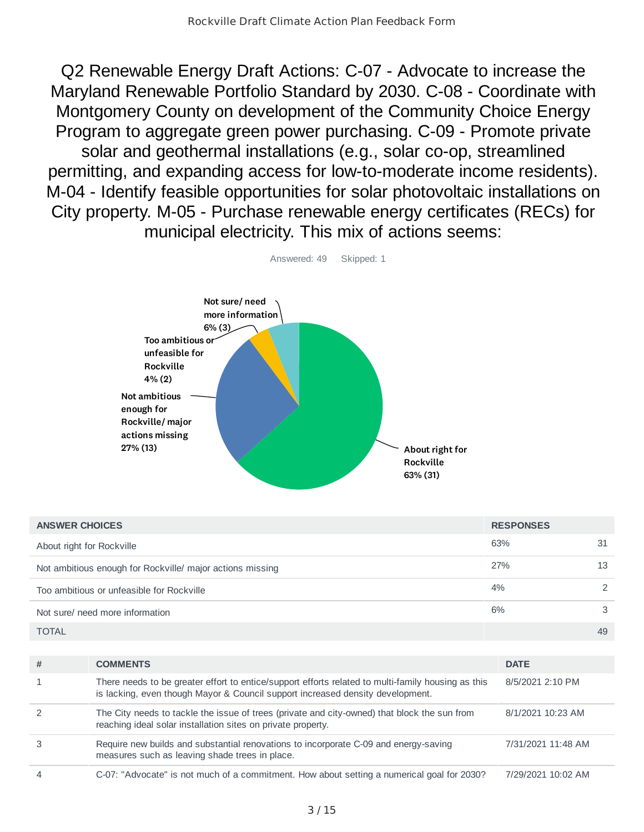Q2 Renewable Energy Draft Actions: C-07 - Advocate to increase the Maryland Renewable Portfolio Standard by 2030. C-08 - Coordinate with Montgomery County on development of the Community Choice Energy Program to aggregate green power purchasing. C-09 - Promote private solar and geothermal installations (e.g., solar co-op, streamlined permitting, and expanding access for low-to-moderate income residents). M-04 - Identify feasible opportunities for solar photovoltaic installations on City property. M-05 - Purchase renewable energy certificates (RECs) for municipal electricity. This mix of actions seems:



| <b>ANSWER CHOICES</b>                                     | <b>RESPONSES</b> |    |
|-----------------------------------------------------------|------------------|----|
| About right for Rockville                                 | 63%              | 31 |
| Not ambitious enough for Rockville/ major actions missing | 27%              | 13 |
| Too ambitious or unfeasible for Rockville                 | 4%               |    |
| Not sure/ need more information                           | 6%               | 3  |
| <b>TOTAL</b>                                              |                  | 49 |

| # | <b>COMMENTS</b>                                                                                                                                                                      | <b>DATE</b>        |
|---|--------------------------------------------------------------------------------------------------------------------------------------------------------------------------------------|--------------------|
|   | There needs to be greater effort to entice/support efforts related to multi-family housing as this<br>is lacking, even though Mayor & Council support increased density development. | 8/5/2021 2:10 PM   |
|   | The City needs to tackle the issue of trees (private and city-owned) that block the sun from<br>reaching ideal solar installation sites on private property.                         | 8/1/2021 10:23 AM  |
|   | Require new builds and substantial renovations to incorporate C-09 and energy-saving<br>measures such as leaving shade trees in place.                                               | 7/31/2021 11:48 AM |
| 4 | C-07: "Advocate" is not much of a commitment. How about setting a numerical goal for 2030?                                                                                           | 7/29/2021 10:02 AM |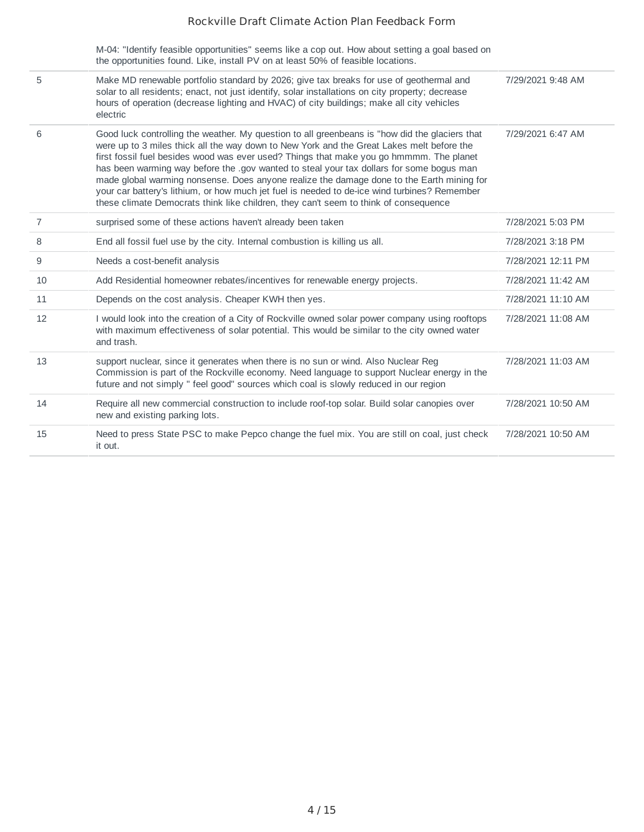M-04: "Identify feasible opportunities" seems like a cop out. How about setting a goal based on the opportunities found. Like, install PV on at least 50% of feasible locations.

| 5              | Make MD renewable portfolio standard by 2026; give tax breaks for use of geothermal and<br>solar to all residents; enact, not just identify, solar installations on city property; decrease<br>hours of operation (decrease lighting and HVAC) of city buildings; make all city vehicles<br>electric                                                                                                                                                                                                                                                                                                                                                                    | 7/29/2021 9:48 AM  |
|----------------|-------------------------------------------------------------------------------------------------------------------------------------------------------------------------------------------------------------------------------------------------------------------------------------------------------------------------------------------------------------------------------------------------------------------------------------------------------------------------------------------------------------------------------------------------------------------------------------------------------------------------------------------------------------------------|--------------------|
| 6              | Good luck controlling the weather. My question to all greenbeans is "how did the glaciers that<br>were up to 3 miles thick all the way down to New York and the Great Lakes melt before the<br>first fossil fuel besides wood was ever used? Things that make you go hmmmm. The planet<br>has been warming way before the .gov wanted to steal your tax dollars for some bogus man<br>made global warming nonsense. Does anyone realize the damage done to the Earth mining for<br>your car battery's lithium, or how much jet fuel is needed to de-ice wind turbines? Remember<br>these climate Democrats think like children, they can't seem to think of consequence | 7/29/2021 6:47 AM  |
| $\overline{7}$ | surprised some of these actions haven't already been taken                                                                                                                                                                                                                                                                                                                                                                                                                                                                                                                                                                                                              | 7/28/2021 5:03 PM  |
| 8              | End all fossil fuel use by the city. Internal combustion is killing us all.                                                                                                                                                                                                                                                                                                                                                                                                                                                                                                                                                                                             | 7/28/2021 3:18 PM  |
| 9              | Needs a cost-benefit analysis                                                                                                                                                                                                                                                                                                                                                                                                                                                                                                                                                                                                                                           | 7/28/2021 12:11 PM |
| 10             | Add Residential homeowner rebates/incentives for renewable energy projects.                                                                                                                                                                                                                                                                                                                                                                                                                                                                                                                                                                                             | 7/28/2021 11:42 AM |
| 11             | Depends on the cost analysis. Cheaper KWH then yes.                                                                                                                                                                                                                                                                                                                                                                                                                                                                                                                                                                                                                     | 7/28/2021 11:10 AM |
| 12             | I would look into the creation of a City of Rockville owned solar power company using rooftops<br>with maximum effectiveness of solar potential. This would be similar to the city owned water<br>and trash.                                                                                                                                                                                                                                                                                                                                                                                                                                                            | 7/28/2021 11:08 AM |
| 13             | support nuclear, since it generates when there is no sun or wind. Also Nuclear Reg<br>Commission is part of the Rockville economy. Need language to support Nuclear energy in the<br>future and not simply " feel good" sources which coal is slowly reduced in our region                                                                                                                                                                                                                                                                                                                                                                                              | 7/28/2021 11:03 AM |
| 14             | Require all new commercial construction to include roof-top solar. Build solar canopies over<br>new and existing parking lots.                                                                                                                                                                                                                                                                                                                                                                                                                                                                                                                                          | 7/28/2021 10:50 AM |
| 15             | Need to press State PSC to make Pepco change the fuel mix. You are still on coal, just check<br>it out.                                                                                                                                                                                                                                                                                                                                                                                                                                                                                                                                                                 | 7/28/2021 10:50 AM |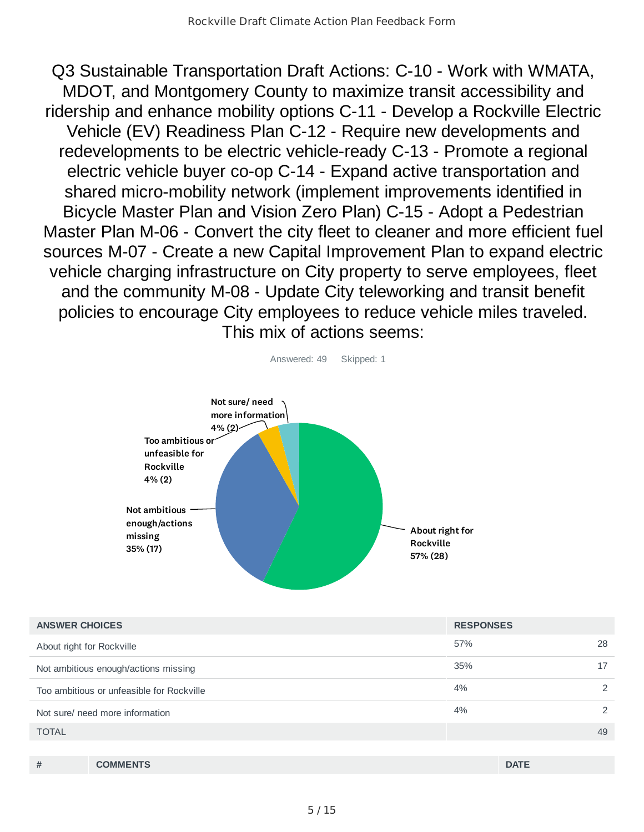Q3 Sustainable Transportation Draft Actions: C-10 - Work with WMATA, MDOT, and Montgomery County to maximize transit accessibility and ridership and enhance mobility options C-11 - Develop a Rockville Electric Vehicle (EV) Readiness Plan C-12 - Require new developments and redevelopments to be electric vehicle-ready C-13 - Promote a regional electric vehicle buyer co-op C-14 - Expand active transportation and shared micro-mobility network (implement improvements identified in Bicycle Master Plan and Vision Zero Plan) C-15 - Adopt a Pedestrian Master Plan M-06 - Convert the city fleet to cleaner and more efficient fuel sources M-07 - Create a new Capital Improvement Plan to expand electric vehicle charging infrastructure on City property to serve employees, fleet and the community M-08 - Update City teleworking and transit benefit policies to encourage City employees to reduce vehicle miles traveled. This mix of actions seems:



| <b>ANSWER CHOICES</b>                     | <b>RESPONSES</b> |               |
|-------------------------------------------|------------------|---------------|
| About right for Rockville                 | 57%              | 28            |
| Not ambitious enough/actions missing      | 35%              | 17            |
| Too ambitious or unfeasible for Rockville | 4%               | $\mathcal{P}$ |
| Not sure/ need more information           | 4%               | $\mathcal{P}$ |
| <b>TOTAL</b>                              |                  | 49            |
|                                           |                  |               |

| $\pi$ | <b>COMMENTS</b> | <b>DATE</b> |
|-------|-----------------|-------------|
|       |                 |             |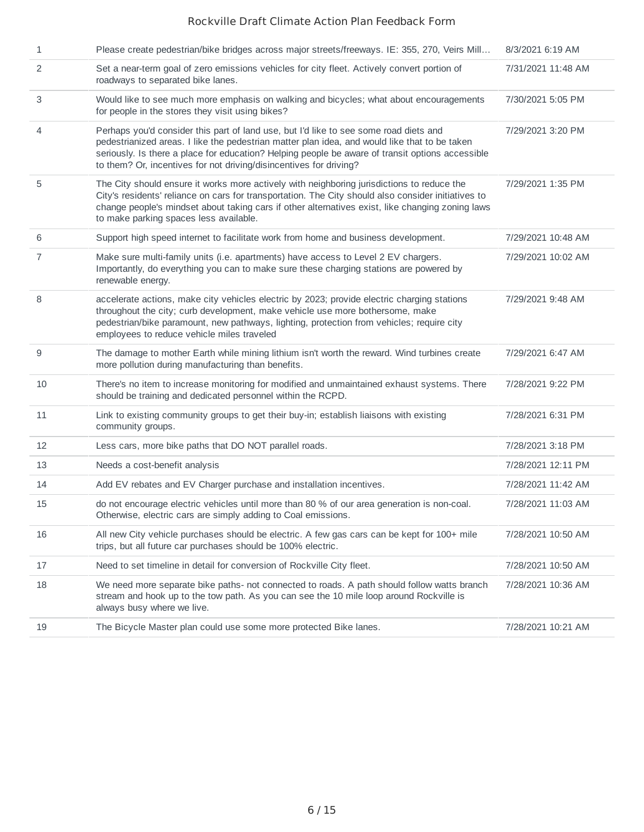| $\mathbf{1}$ | Please create pedestrian/bike bridges across major streets/freeways. IE: 355, 270, Veirs Mill                                                                                                                                                                                                                                                                    | 8/3/2021 6:19 AM   |
|--------------|------------------------------------------------------------------------------------------------------------------------------------------------------------------------------------------------------------------------------------------------------------------------------------------------------------------------------------------------------------------|--------------------|
| 2            | Set a near-term goal of zero emissions vehicles for city fleet. Actively convert portion of<br>roadways to separated bike lanes.                                                                                                                                                                                                                                 | 7/31/2021 11:48 AM |
| 3            | Would like to see much more emphasis on walking and bicycles; what about encouragements<br>for people in the stores they visit using bikes?                                                                                                                                                                                                                      | 7/30/2021 5:05 PM  |
| 4            | Perhaps you'd consider this part of land use, but I'd like to see some road diets and<br>pedestrianized areas. I like the pedestrian matter plan idea, and would like that to be taken<br>seriously. Is there a place for education? Helping people be aware of transit options accessible<br>to them? Or, incentives for not driving/disincentives for driving? | 7/29/2021 3:20 PM  |
| 5            | The City should ensure it works more actively with neighboring jurisdictions to reduce the<br>City's residents' reliance on cars for transportation. The City should also consider initiatives to<br>change people's mindset about taking cars if other alternatives exist, like changing zoning laws<br>to make parking spaces less available.                  | 7/29/2021 1:35 PM  |
| 6            | Support high speed internet to facilitate work from home and business development.                                                                                                                                                                                                                                                                               | 7/29/2021 10:48 AM |
| 7            | Make sure multi-family units (i.e. apartments) have access to Level 2 EV chargers.<br>Importantly, do everything you can to make sure these charging stations are powered by<br>renewable energy.                                                                                                                                                                | 7/29/2021 10:02 AM |
| 8            | accelerate actions, make city vehicles electric by 2023; provide electric charging stations<br>throughout the city; curb development, make vehicle use more bothersome, make<br>pedestrian/bike paramount, new pathways, lighting, protection from vehicles; require city<br>employees to reduce vehicle miles traveled                                          | 7/29/2021 9:48 AM  |
| 9            | The damage to mother Earth while mining lithium isn't worth the reward. Wind turbines create<br>more pollution during manufacturing than benefits.                                                                                                                                                                                                               | 7/29/2021 6:47 AM  |
| 10           | There's no item to increase monitoring for modified and unmaintained exhaust systems. There<br>should be training and dedicated personnel within the RCPD.                                                                                                                                                                                                       | 7/28/2021 9:22 PM  |
| 11           | Link to existing community groups to get their buy-in; establish liaisons with existing<br>community groups.                                                                                                                                                                                                                                                     | 7/28/2021 6:31 PM  |
| 12           | Less cars, more bike paths that DO NOT parallel roads.                                                                                                                                                                                                                                                                                                           | 7/28/2021 3:18 PM  |
| 13           | Needs a cost-benefit analysis                                                                                                                                                                                                                                                                                                                                    | 7/28/2021 12:11 PM |
| 14           | Add EV rebates and EV Charger purchase and installation incentives.                                                                                                                                                                                                                                                                                              | 7/28/2021 11:42 AM |
| 15           | do not encourage electric vehicles until more than 80 % of our area generation is non-coal.<br>Otherwise, electric cars are simply adding to Coal emissions.                                                                                                                                                                                                     | 7/28/2021 11:03 AM |
| 16           | All new City vehicle purchases should be electric. A few gas cars can be kept for 100+ mile<br>trips, but all future car purchases should be 100% electric.                                                                                                                                                                                                      | 7/28/2021 10:50 AM |
| 17           | Need to set timeline in detail for conversion of Rockville City fleet.                                                                                                                                                                                                                                                                                           | 7/28/2021 10:50 AM |
| 18           | We need more separate bike paths- not connected to roads. A path should follow watts branch<br>stream and hook up to the tow path. As you can see the 10 mile loop around Rockville is<br>always busy where we live.                                                                                                                                             | 7/28/2021 10:36 AM |
| 19           | The Bicycle Master plan could use some more protected Bike lanes.                                                                                                                                                                                                                                                                                                | 7/28/2021 10:21 AM |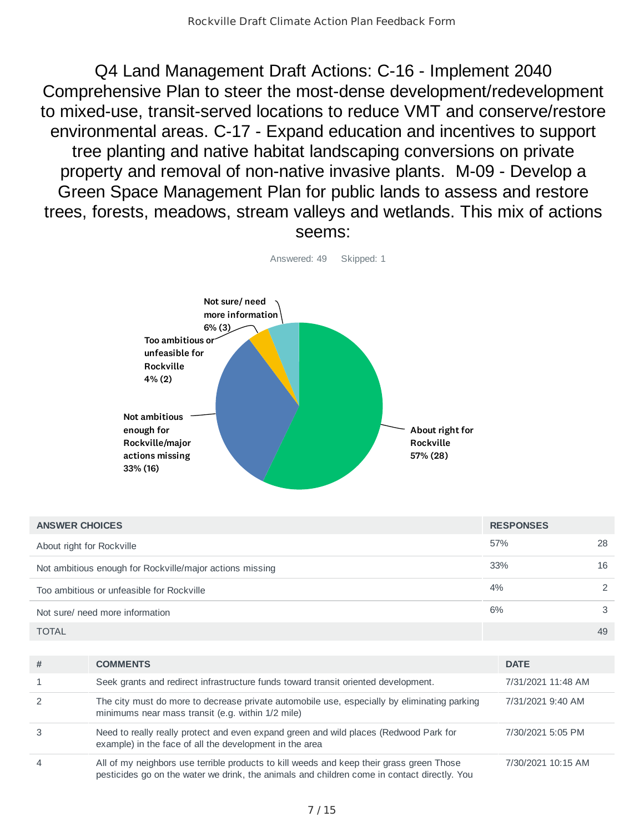Q4 Land Management Draft Actions: C-16 - Implement 2040 Comprehensive Plan to steer the most-dense development/redevelopment to mixed-use, transit-served locations to reduce VMT and conserve/restore environmental areas. C-17 - Expand education and incentives to support tree planting and native habitat landscaping conversions on private property and removal of non-native invasive plants. M-09 - Develop a Green Space Management Plan for public lands to assess and restore trees, forests, meadows, stream valleys and wetlands. This mix of actions seems:



| <b>ANSWER CHOICES</b>                                    | <b>RESPONSES</b> |    |
|----------------------------------------------------------|------------------|----|
| About right for Rockville                                | 57%              | 28 |
| Not ambitious enough for Rockville/major actions missing | 33%              | 16 |
| Too ambitious or unfeasible for Rockville                | 4%               |    |
| Not sure/ need more information                          | 6%               | 3  |
| <b>TOTAL</b>                                             |                  | 49 |

| #              | <b>COMMENTS</b>                                                                                                                                                                         | <b>DATE</b>        |
|----------------|-----------------------------------------------------------------------------------------------------------------------------------------------------------------------------------------|--------------------|
|                | Seek grants and redirect infrastructure funds toward transit oriented development.                                                                                                      | 7/31/2021 11:48 AM |
|                | The city must do more to decrease private automobile use, especially by eliminating parking<br>minimums near mass transit (e.g. within 1/2 mile)                                        | 7/31/2021 9:40 AM  |
|                | Need to really really protect and even expand green and wild places (Redwood Park for<br>example) in the face of all the development in the area                                        | 7/30/2021 5:05 PM  |
| $\overline{A}$ | All of my neighbors use terrible products to kill weeds and keep their grass green Those<br>pesticides go on the water we drink, the animals and children come in contact directly. You | 7/30/2021 10:15 AM |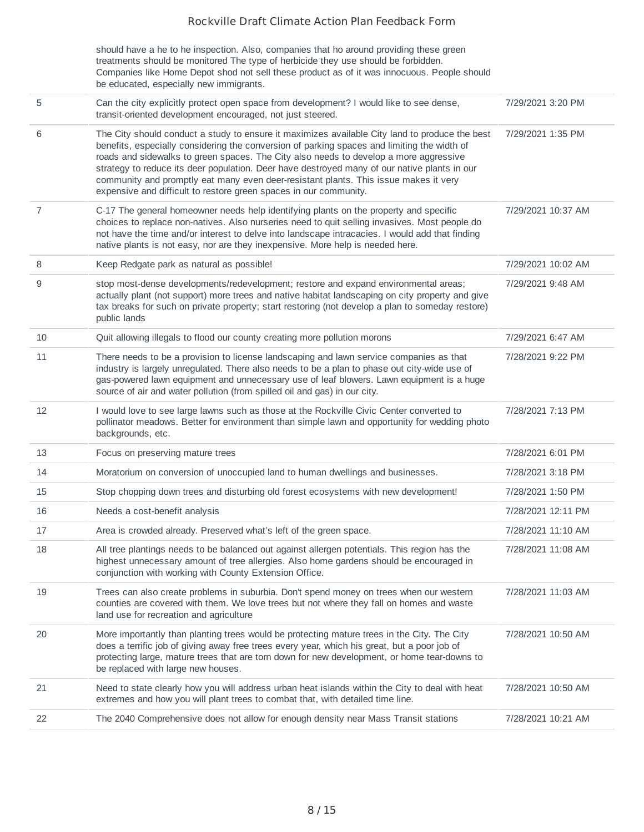|                | should have a he to he inspection. Also, companies that ho around providing these green<br>treatments should be monitored The type of herbicide they use should be forbidden.<br>Companies like Home Depot shod not sell these product as of it was innocuous. People should<br>be educated, especially new immigrants.                                                                                                                                                                                                                             |                    |
|----------------|-----------------------------------------------------------------------------------------------------------------------------------------------------------------------------------------------------------------------------------------------------------------------------------------------------------------------------------------------------------------------------------------------------------------------------------------------------------------------------------------------------------------------------------------------------|--------------------|
| 5              | Can the city explicitly protect open space from development? I would like to see dense,<br>transit-oriented development encouraged, not just steered.                                                                                                                                                                                                                                                                                                                                                                                               | 7/29/2021 3:20 PM  |
| 6              | The City should conduct a study to ensure it maximizes available City land to produce the best<br>benefits, especially considering the conversion of parking spaces and limiting the width of<br>roads and sidewalks to green spaces. The City also needs to develop a more aggressive<br>strategy to reduce its deer population. Deer have destroyed many of our native plants in our<br>community and promptly eat many even deer-resistant plants. This issue makes it very<br>expensive and difficult to restore green spaces in our community. | 7/29/2021 1:35 PM  |
| $\overline{7}$ | C-17 The general homeowner needs help identifying plants on the property and specific<br>choices to replace non-natives. Also nurseries need to quit selling invasives. Most people do<br>not have the time and/or interest to delve into landscape intracacies. I would add that finding<br>native plants is not easy, nor are they inexpensive. More help is needed here.                                                                                                                                                                         | 7/29/2021 10:37 AM |
| 8              | Keep Redgate park as natural as possible!                                                                                                                                                                                                                                                                                                                                                                                                                                                                                                           | 7/29/2021 10:02 AM |
| 9              | stop most-dense developments/redevelopment; restore and expand environmental areas;<br>actually plant (not support) more trees and native habitat landscaping on city property and give<br>tax breaks for such on private property; start restoring (not develop a plan to someday restore)<br>public lands                                                                                                                                                                                                                                         | 7/29/2021 9:48 AM  |
| 10             | Quit allowing illegals to flood our county creating more pollution morons                                                                                                                                                                                                                                                                                                                                                                                                                                                                           | 7/29/2021 6:47 AM  |
| 11             | There needs to be a provision to license landscaping and lawn service companies as that<br>industry is largely unregulated. There also needs to be a plan to phase out city-wide use of<br>gas-powered lawn equipment and unnecessary use of leaf blowers. Lawn equipment is a huge<br>source of air and water pollution (from spilled oil and gas) in our city.                                                                                                                                                                                    | 7/28/2021 9:22 PM  |
| 12             | I would love to see large lawns such as those at the Rockville Civic Center converted to<br>pollinator meadows. Better for environment than simple lawn and opportunity for wedding photo<br>backgrounds, etc.                                                                                                                                                                                                                                                                                                                                      | 7/28/2021 7:13 PM  |
| 13             | Focus on preserving mature trees                                                                                                                                                                                                                                                                                                                                                                                                                                                                                                                    | 7/28/2021 6:01 PM  |
| 14             | Moratorium on conversion of unoccupied land to human dwellings and businesses.                                                                                                                                                                                                                                                                                                                                                                                                                                                                      | 7/28/2021 3:18 PM  |
| 15             | Stop chopping down trees and disturbing old forest ecosystems with new development!                                                                                                                                                                                                                                                                                                                                                                                                                                                                 | 7/28/2021 1:50 PM  |
| 16             | Needs a cost-benefit analysis                                                                                                                                                                                                                                                                                                                                                                                                                                                                                                                       | 7/28/2021 12:11 PM |
| 17             | Area is crowded already. Preserved what's left of the green space.                                                                                                                                                                                                                                                                                                                                                                                                                                                                                  | 7/28/2021 11:10 AM |
| 18             | All tree plantings needs to be balanced out against allergen potentials. This region has the<br>highest unnecessary amount of tree allergies. Also home gardens should be encouraged in<br>conjunction with working with County Extension Office.                                                                                                                                                                                                                                                                                                   | 7/28/2021 11:08 AM |
| 19             | Trees can also create problems in suburbia. Don't spend money on trees when our western<br>counties are covered with them. We love trees but not where they fall on homes and waste<br>land use for recreation and agriculture                                                                                                                                                                                                                                                                                                                      | 7/28/2021 11:03 AM |
| 20             | More importantly than planting trees would be protecting mature trees in the City. The City<br>does a terrific job of giving away free trees every year, which his great, but a poor job of<br>protecting large, mature trees that are torn down for new development, or home tear-downs to<br>be replaced with large new houses.                                                                                                                                                                                                                   | 7/28/2021 10:50 AM |
| 21             | Need to state clearly how you will address urban heat islands within the City to deal with heat<br>extremes and how you will plant trees to combat that, with detailed time line.                                                                                                                                                                                                                                                                                                                                                                   | 7/28/2021 10:50 AM |
| 22             | The 2040 Comprehensive does not allow for enough density near Mass Transit stations                                                                                                                                                                                                                                                                                                                                                                                                                                                                 | 7/28/2021 10:21 AM |
|                |                                                                                                                                                                                                                                                                                                                                                                                                                                                                                                                                                     |                    |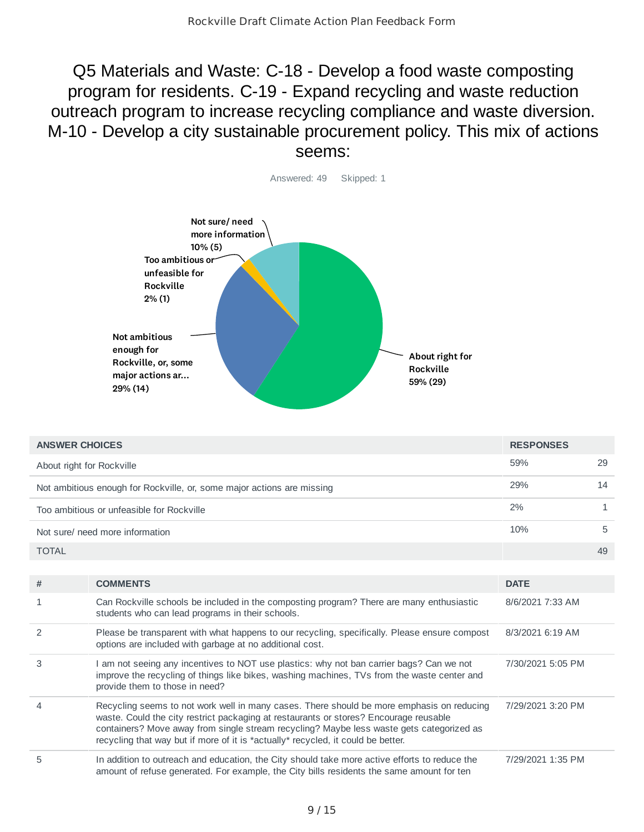Q5 Materials and Waste: C-18 - Develop a food waste composting program for residents. C-19 - Expand recycling and waste reduction outreach program to increase recycling compliance and waste diversion. M-10 - Develop a city sustainable procurement policy. This mix of actions seems:



| <b>ANSWER CHOICES</b>                                                  | <b>RESPONSES</b> |    |
|------------------------------------------------------------------------|------------------|----|
| About right for Rockville                                              | 59%              | 29 |
| Not ambitious enough for Rockville, or, some major actions are missing | 29%              | 14 |
| Too ambitious or unfeasible for Rockville                              | 2%               |    |
| Not sure/ need more information                                        | 10%              | 5  |
| <b>TOTAL</b>                                                           |                  | 49 |

| #              | <b>COMMENTS</b>                                                                                                                                                                                                                                                                                                                                                    | <b>DATE</b>       |
|----------------|--------------------------------------------------------------------------------------------------------------------------------------------------------------------------------------------------------------------------------------------------------------------------------------------------------------------------------------------------------------------|-------------------|
| $\mathbf{1}$   | Can Rockville schools be included in the composting program? There are many enthusiastic<br>students who can lead programs in their schools.                                                                                                                                                                                                                       | 8/6/2021 7:33 AM  |
| 2              | Please be transparent with what happens to our recycling, specifically. Please ensure compost<br>options are included with garbage at no additional cost.                                                                                                                                                                                                          | 8/3/2021 6:19 AM  |
| 3              | am not seeing any incentives to NOT use plastics: why not ban carrier bags? Can we not<br>improve the recycling of things like bikes, washing machines, TVs from the waste center and<br>provide them to those in need?                                                                                                                                            | 7/30/2021 5:05 PM |
| $\overline{4}$ | Recycling seems to not work well in many cases. There should be more emphasis on reducing<br>waste. Could the city restrict packaging at restaurants or stores? Encourage reusable<br>containers? Move away from single stream recycling? Maybe less waste gets categorized as<br>recycling that way but if more of it is *actually* recycled, it could be better. | 7/29/2021 3:20 PM |
| 5              | In addition to outreach and education, the City should take more active efforts to reduce the<br>amount of refuse generated. For example, the City bills residents the same amount for ten                                                                                                                                                                         | 7/29/2021 1:35 PM |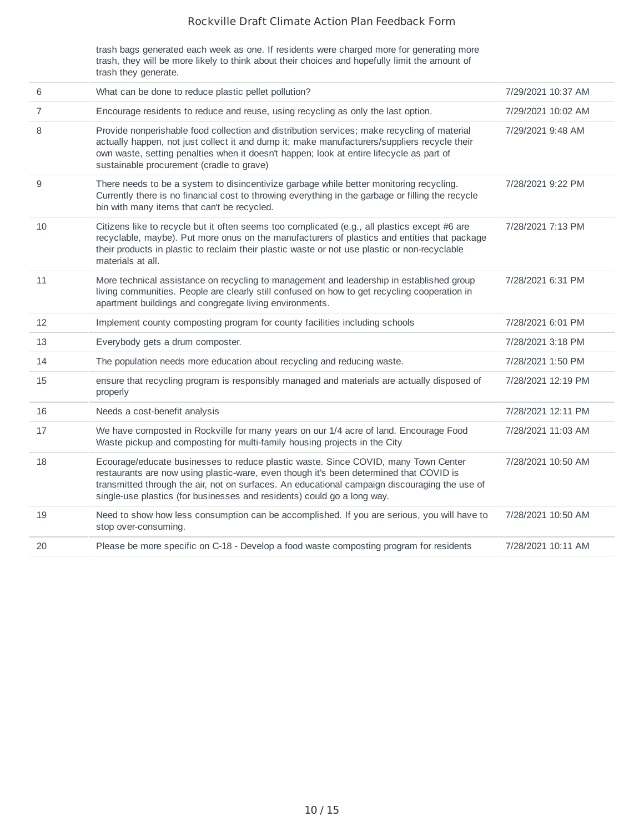trash bags generated each week as one. If residents were charged more for generating more trash, they will be more likely to think about their choices and hopefully limit the amount of trash they generate.

| 6              | What can be done to reduce plastic pellet pollution?                                                                                                                                                                                                                                                                                                     | 7/29/2021 10:37 AM |
|----------------|----------------------------------------------------------------------------------------------------------------------------------------------------------------------------------------------------------------------------------------------------------------------------------------------------------------------------------------------------------|--------------------|
| $\overline{7}$ | Encourage residents to reduce and reuse, using recycling as only the last option.                                                                                                                                                                                                                                                                        | 7/29/2021 10:02 AM |
| 8              | Provide nonperishable food collection and distribution services; make recycling of material<br>actually happen, not just collect it and dump it; make manufacturers/suppliers recycle their<br>own waste, setting penalties when it doesn't happen; look at entire lifecycle as part of<br>sustainable procurement (cradle to grave)                     | 7/29/2021 9:48 AM  |
| 9              | There needs to be a system to disincentivize garbage while better monitoring recycling.<br>Currently there is no financial cost to throwing everything in the garbage or filling the recycle<br>bin with many items that can't be recycled.                                                                                                              | 7/28/2021 9:22 PM  |
| 10             | Citizens like to recycle but it often seems too complicated (e.g., all plastics except #6 are<br>recyclable, maybe). Put more onus on the manufacturers of plastics and entities that package<br>their products in plastic to reclaim their plastic waste or not use plastic or non-recyclable<br>materials at all.                                      | 7/28/2021 7:13 PM  |
| 11             | More technical assistance on recycling to management and leadership in established group<br>living communities. People are clearly still confused on how to get recycling cooperation in<br>apartment buildings and congregate living environments.                                                                                                      | 7/28/2021 6:31 PM  |
| 12             | Implement county composting program for county facilities including schools                                                                                                                                                                                                                                                                              | 7/28/2021 6:01 PM  |
| 13             | Everybody gets a drum composter.                                                                                                                                                                                                                                                                                                                         | 7/28/2021 3:18 PM  |
| 14             | The population needs more education about recycling and reducing waste.                                                                                                                                                                                                                                                                                  | 7/28/2021 1:50 PM  |
| 15             | ensure that recycling program is responsibly managed and materials are actually disposed of<br>properly                                                                                                                                                                                                                                                  | 7/28/2021 12:19 PM |
| 16             | Needs a cost-benefit analysis                                                                                                                                                                                                                                                                                                                            | 7/28/2021 12:11 PM |
| 17             | We have composted in Rockville for many years on our 1/4 acre of land. Encourage Food<br>Waste pickup and composting for multi-family housing projects in the City                                                                                                                                                                                       | 7/28/2021 11:03 AM |
| 18             | Ecourage/educate businesses to reduce plastic waste. Since COVID, many Town Center<br>restaurants are now using plastic-ware, even though it's been determined that COVID is<br>transmitted through the air, not on surfaces. An educational campaign discouraging the use of<br>single-use plastics (for businesses and residents) could go a long way. | 7/28/2021 10:50 AM |
| 19             | Need to show how less consumption can be accomplished. If you are serious, you will have to<br>stop over-consuming.                                                                                                                                                                                                                                      | 7/28/2021 10:50 AM |
| 20             | Please be more specific on C-18 - Develop a food waste composting program for residents                                                                                                                                                                                                                                                                  | 7/28/2021 10:11 AM |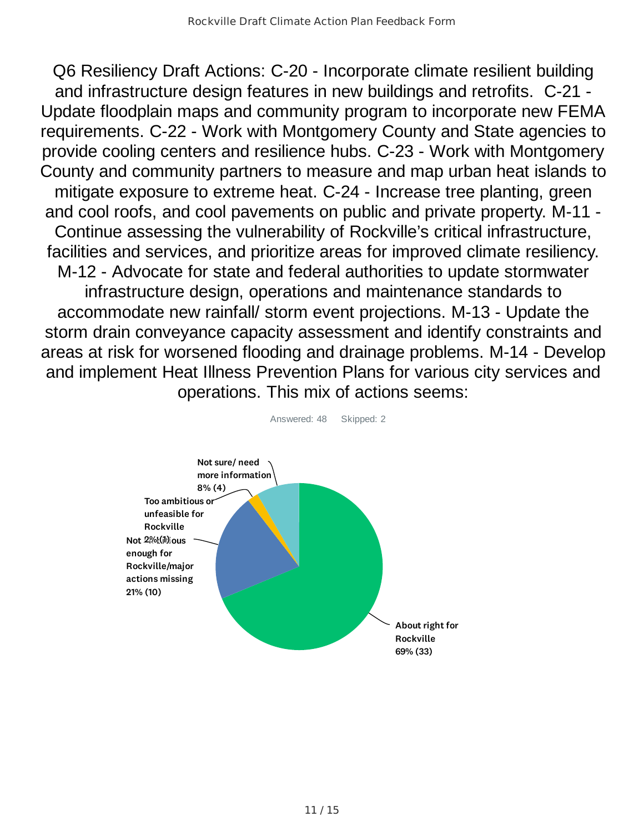Q6 Resiliency Draft Actions: C-20 - Incorporate climate resilient building and infrastructure design features in new buildings and retrofits. C-21 - Update floodplain maps and community program to incorporate new FEMA requirements. C-22 - Work with Montgomery County and State agencies to provide cooling centers and resilience hubs. C-23 - Work with Montgomery County and community partners to measure and map urban heat islands to mitigate exposure to extreme heat. C-24 - Increase tree planting, green and cool roofs, and cool pavements on public and private property. M-11 - Continue assessing the vulnerability of Rockville's critical infrastructure, facilities and services, and prioritize areas for improved climate resiliency. M-12 - Advocate for state and federal authorities to update stormwater infrastructure design, operations and maintenance standards to accommodate new rainfall/ storm event projections. M-13 - Update the storm drain conveyance capacity assessment and identify constraints and areas at risk for worsened flooding and drainage problems. M-14 - Develop and implement Heat Illness Prevention Plans for various city services and operations. This mix of actions seems:



Answered: 48 Skipped: 2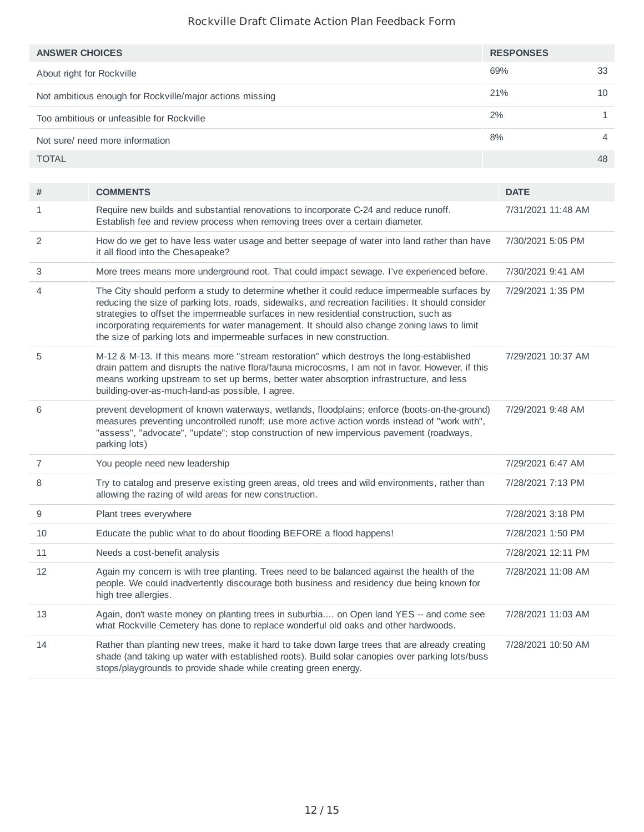| <b>ANSWER CHOICES</b>                                    | <b>RESPONSES</b> |    |
|----------------------------------------------------------|------------------|----|
| About right for Rockville                                | 69%              | 33 |
| Not ambitious enough for Rockville/major actions missing | 21%              | 10 |
| Too ambitious or unfeasible for Rockville                | 2%               |    |
| Not sure/ need more information                          | 8%               | 4  |
| <b>TOTAL</b>                                             |                  | 48 |

| #              | <b>COMMENTS</b>                                                                                                                                                                                                                                                                                                                                                                                                                                                       | <b>DATE</b>        |
|----------------|-----------------------------------------------------------------------------------------------------------------------------------------------------------------------------------------------------------------------------------------------------------------------------------------------------------------------------------------------------------------------------------------------------------------------------------------------------------------------|--------------------|
| 1              | Require new builds and substantial renovations to incorporate C-24 and reduce runoff.<br>Establish fee and review process when removing trees over a certain diameter.                                                                                                                                                                                                                                                                                                | 7/31/2021 11:48 AM |
| 2              | How do we get to have less water usage and better seepage of water into land rather than have<br>it all flood into the Chesapeake?                                                                                                                                                                                                                                                                                                                                    | 7/30/2021 5:05 PM  |
| 3              | More trees means more underground root. That could impact sewage. I've experienced before.                                                                                                                                                                                                                                                                                                                                                                            | 7/30/2021 9:41 AM  |
| 4              | The City should perform a study to determine whether it could reduce impermeable surfaces by<br>reducing the size of parking lots, roads, sidewalks, and recreation facilities. It should consider<br>strategies to offset the impermeable surfaces in new residential construction, such as<br>incorporating requirements for water management. It should also change zoning laws to limit<br>the size of parking lots and impermeable surfaces in new construction. | 7/29/2021 1:35 PM  |
| 5              | M-12 & M-13. If this means more "stream restoration" which destroys the long-established<br>drain pattern and disrupts the native flora/fauna microcosms, I am not in favor. However, if this<br>means working upstream to set up berms, better water absorption infrastructure, and less<br>building-over-as-much-land-as possible, I agree.                                                                                                                         | 7/29/2021 10:37 AM |
| 6              | prevent development of known waterways, wetlands, floodplains; enforce (boots-on-the-ground)<br>measures preventing uncontrolled runoff; use more active action words instead of "work with",<br>"assess", "advocate", "update"; stop construction of new impervious pavement (roadways,<br>parking lots)                                                                                                                                                             | 7/29/2021 9:48 AM  |
| $\overline{7}$ | You people need new leadership                                                                                                                                                                                                                                                                                                                                                                                                                                        | 7/29/2021 6:47 AM  |
| 8              | Try to catalog and preserve existing green areas, old trees and wild environments, rather than<br>allowing the razing of wild areas for new construction.                                                                                                                                                                                                                                                                                                             | 7/28/2021 7:13 PM  |
| 9              | Plant trees everywhere                                                                                                                                                                                                                                                                                                                                                                                                                                                | 7/28/2021 3:18 PM  |
| 10             | Educate the public what to do about flooding BEFORE a flood happens!                                                                                                                                                                                                                                                                                                                                                                                                  | 7/28/2021 1:50 PM  |
| 11             | Needs a cost-benefit analysis                                                                                                                                                                                                                                                                                                                                                                                                                                         | 7/28/2021 12:11 PM |
| 12             | Again my concern is with tree planting. Trees need to be balanced against the health of the<br>people. We could inadvertently discourage both business and residency due being known for<br>high tree allergies.                                                                                                                                                                                                                                                      | 7/28/2021 11:08 AM |
| 13             | Again, don't waste money on planting trees in suburbia on Open land YES -- and come see<br>what Rockville Cemetery has done to replace wonderful old oaks and other hardwoods.                                                                                                                                                                                                                                                                                        | 7/28/2021 11:03 AM |
| 14             | Rather than planting new trees, make it hard to take down large trees that are already creating<br>shade (and taking up water with established roots). Build solar canopies over parking lots/buss<br>stops/playgrounds to provide shade while creating green energy.                                                                                                                                                                                                 | 7/28/2021 10:50 AM |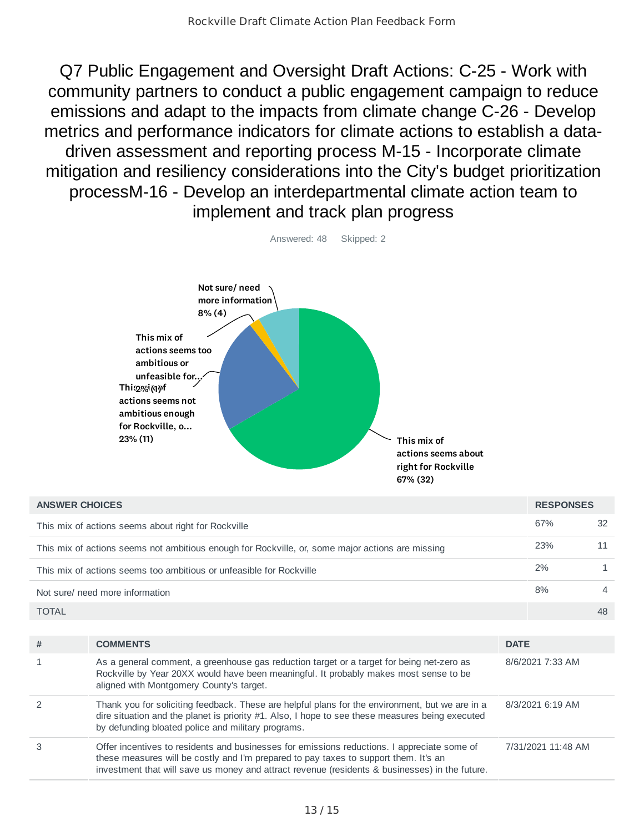Q7 Public Engagement and Oversight Draft Actions: C-25 - Work with community partners to conduct a public engagement campaign to reduce emissions and adapt to the impacts from climate change C-26 - Develop metrics and performance indicators for climate actions to establish a datadriven assessment and reporting process M-15 - Incorporate climate mitigation and resiliency considerations into the City's budget prioritization processM-16 - Develop an interdepartmental climate action team to implement and track plan progress



| <b>ANSWER CHOICES</b> |                                                                                                                                                                                                                                                                                       |             | <b>RESPONSES</b>   |                |
|-----------------------|---------------------------------------------------------------------------------------------------------------------------------------------------------------------------------------------------------------------------------------------------------------------------------------|-------------|--------------------|----------------|
|                       | This mix of actions seems about right for Rockville                                                                                                                                                                                                                                   |             | 67%                | 32             |
|                       | This mix of actions seems not ambitious enough for Rockville, or, some major actions are missing                                                                                                                                                                                      |             | 23%                | 11             |
|                       | This mix of actions seems too ambitious or unfeasible for Rockville                                                                                                                                                                                                                   |             | 2%                 | 1              |
|                       | Not sure/ need more information                                                                                                                                                                                                                                                       |             | 8%                 | $\overline{4}$ |
| <b>TOTAL</b>          |                                                                                                                                                                                                                                                                                       |             |                    | 48             |
|                       |                                                                                                                                                                                                                                                                                       |             |                    |                |
| #                     | <b>COMMENTS</b>                                                                                                                                                                                                                                                                       | <b>DATE</b> |                    |                |
| $\mathbf{1}$          | As a general comment, a greenhouse gas reduction target or a target for being net-zero as<br>Rockville by Year 20XX would have been meaningful. It probably makes most sense to be<br>aligned with Montgomery County's target.                                                        |             | 8/6/2021 7:33 AM   |                |
| $\mathcal{P}$         | Thank you for soliciting feedback. These are helpful plans for the environment, but we are in a<br>dire situation and the planet is priority $#1$ . Also, I hope to see these measures being executed<br>by defunding bloated police and military programs.                           |             | 8/3/2021 6:19 AM   |                |
| 3                     | Offer incentives to residents and businesses for emissions reductions. I appreciate some of<br>these measures will be costly and I'm prepared to pay taxes to support them. It's an<br>investment that will save us money and attract revenue (residents & businesses) in the future. |             | 7/31/2021 11:48 AM |                |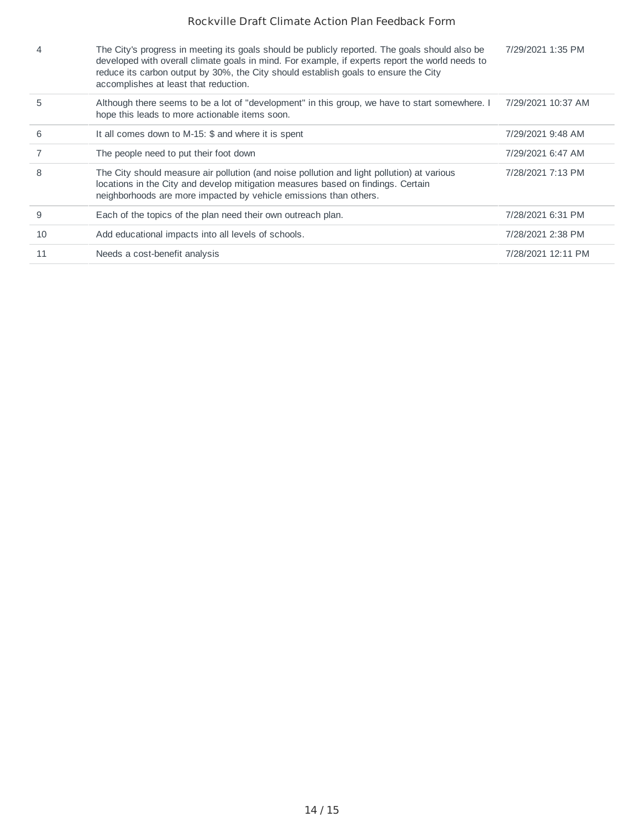| 4  | The City's progress in meeting its goals should be publicly reported. The goals should also be<br>developed with overall climate goals in mind. For example, if experts report the world needs to<br>reduce its carbon output by 30%, the City should establish goals to ensure the City<br>accomplishes at least that reduction. | 7/29/2021 1:35 PM  |
|----|-----------------------------------------------------------------------------------------------------------------------------------------------------------------------------------------------------------------------------------------------------------------------------------------------------------------------------------|--------------------|
| 5  | Although there seems to be a lot of "development" in this group, we have to start somewhere. I<br>hope this leads to more actionable items soon.                                                                                                                                                                                  | 7/29/2021 10:37 AM |
| 6  | It all comes down to M-15: \$ and where it is spent                                                                                                                                                                                                                                                                               | 7/29/2021 9:48 AM  |
|    | The people need to put their foot down                                                                                                                                                                                                                                                                                            | 7/29/2021 6:47 AM  |
| 8  | The City should measure air pollution (and noise pollution and light pollution) at various<br>locations in the City and develop mitigation measures based on findings. Certain<br>neighborhoods are more impacted by vehicle emissions than others.                                                                               | 7/28/2021 7:13 PM  |
| 9  | Each of the topics of the plan need their own outreach plan.                                                                                                                                                                                                                                                                      | 7/28/2021 6:31 PM  |
| 10 | Add educational impacts into all levels of schools.                                                                                                                                                                                                                                                                               | 7/28/2021 2:38 PM  |
| 11 | Needs a cost-benefit analysis                                                                                                                                                                                                                                                                                                     | 7/28/2021 12:11 PM |